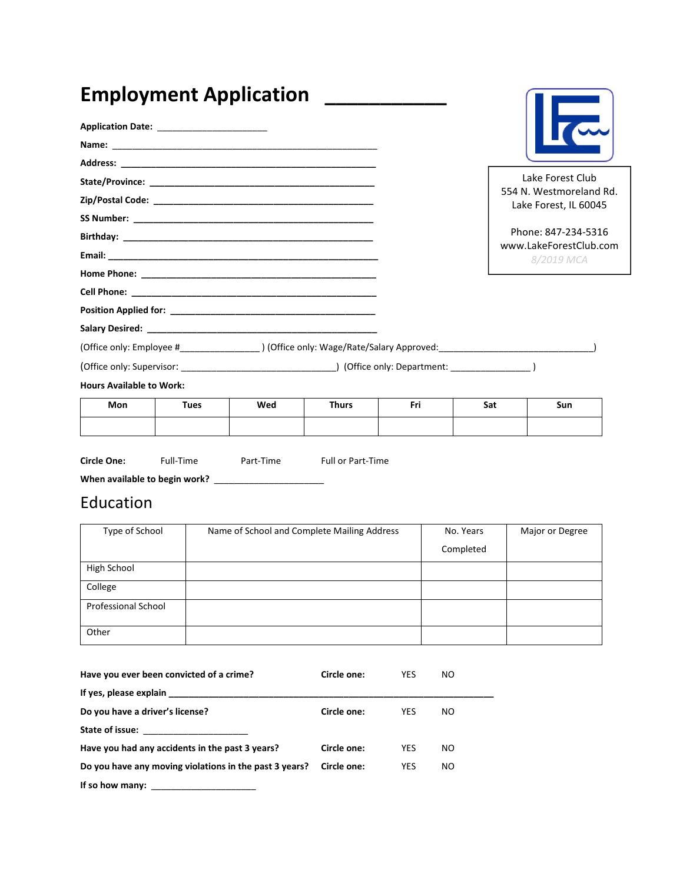|                                           |             | <b>Employment Application</b> |              |     |     |                                                  |
|-------------------------------------------|-------------|-------------------------------|--------------|-----|-----|--------------------------------------------------|
| Application Date: _______________________ |             |                               |              |     |     | $\overline{\phantom{a}}$                         |
|                                           |             |                               |              |     |     |                                                  |
|                                           |             |                               |              |     |     |                                                  |
|                                           |             |                               |              |     |     | Lake Forest Club                                 |
|                                           |             |                               |              |     |     | 554 N. Westmoreland Rd.<br>Lake Forest, IL 60045 |
|                                           |             |                               |              |     |     |                                                  |
|                                           |             |                               |              |     |     | Phone: 847-234-5316<br>www.LakeForestClub.com    |
|                                           |             |                               |              |     |     | 8/2019 MCA                                       |
|                                           |             |                               |              |     |     |                                                  |
|                                           |             |                               |              |     |     |                                                  |
|                                           |             |                               |              |     |     |                                                  |
|                                           |             |                               |              |     |     |                                                  |
|                                           |             |                               |              |     |     |                                                  |
|                                           |             |                               |              |     |     |                                                  |
| <b>Hours Available to Work:</b>           |             |                               |              |     |     |                                                  |
| Mon                                       | <b>Tues</b> | Wed                           | <b>Thurs</b> | Fri | Sat | <b>Sun</b>                                       |
|                                           |             |                               |              |     |     |                                                  |

| <b>IVIUII</b> | . | <b>TACA</b> | ,,,,,, | <br>Jul | Juli |
|---------------|---|-------------|--------|---------|------|
|               |   |             |        |         |      |
|               |   |             |        |         |      |
|               |   |             |        |         |      |
|               |   |             |        |         |      |

Circle One: Full-Time Part-Time Full or Part-Time

When available to begin work? \_\_\_\_\_\_\_\_\_\_\_\_\_\_\_\_\_\_\_\_\_\_

## Education

| Type of School             | Name of School and Complete Mailing Address | No. Years | Major or Degree |
|----------------------------|---------------------------------------------|-----------|-----------------|
|                            |                                             | Completed |                 |
| High School                |                                             |           |                 |
| College                    |                                             |           |                 |
| <b>Professional School</b> |                                             |           |                 |
| Other                      |                                             |           |                 |

| Have you ever been convicted of a crime?               | Circle one: | <b>YES</b> | NO. |  |
|--------------------------------------------------------|-------------|------------|-----|--|
|                                                        |             |            |     |  |
| Do you have a driver's license?                        | Circle one: | YES        | NO  |  |
| State of issue:                                        |             |            |     |  |
| Have you had any accidents in the past 3 years?        | Circle one: | <b>YES</b> | NO. |  |
| Do you have any moving violations in the past 3 years? | Circle one: | <b>YES</b> | NO  |  |
| If so how many:                                        |             |            |     |  |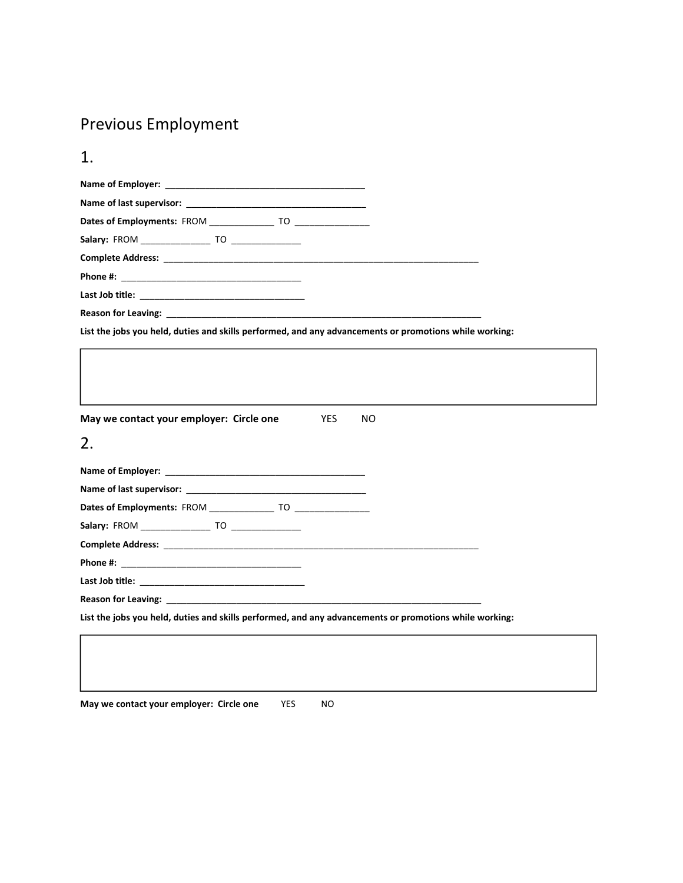## Previous Employment

| <b>Reason for Leaving:</b> The state of the state of the state of the state of the state of the state of the state of the state of the state of the state of the state of the state of the state of the state of the state of the s<br>List the jobs you held, duties and skills performed, and any advancements or promotions while working:<br>May we contact your employer: Circle one<br><b>YES</b><br>NO.<br>2. |  |  |  |  |
|----------------------------------------------------------------------------------------------------------------------------------------------------------------------------------------------------------------------------------------------------------------------------------------------------------------------------------------------------------------------------------------------------------------------|--|--|--|--|
|                                                                                                                                                                                                                                                                                                                                                                                                                      |  |  |  |  |
|                                                                                                                                                                                                                                                                                                                                                                                                                      |  |  |  |  |
|                                                                                                                                                                                                                                                                                                                                                                                                                      |  |  |  |  |
|                                                                                                                                                                                                                                                                                                                                                                                                                      |  |  |  |  |
|                                                                                                                                                                                                                                                                                                                                                                                                                      |  |  |  |  |
|                                                                                                                                                                                                                                                                                                                                                                                                                      |  |  |  |  |
|                                                                                                                                                                                                                                                                                                                                                                                                                      |  |  |  |  |
|                                                                                                                                                                                                                                                                                                                                                                                                                      |  |  |  |  |
|                                                                                                                                                                                                                                                                                                                                                                                                                      |  |  |  |  |
|                                                                                                                                                                                                                                                                                                                                                                                                                      |  |  |  |  |
|                                                                                                                                                                                                                                                                                                                                                                                                                      |  |  |  |  |
|                                                                                                                                                                                                                                                                                                                                                                                                                      |  |  |  |  |
|                                                                                                                                                                                                                                                                                                                                                                                                                      |  |  |  |  |
|                                                                                                                                                                                                                                                                                                                                                                                                                      |  |  |  |  |
|                                                                                                                                                                                                                                                                                                                                                                                                                      |  |  |  |  |
|                                                                                                                                                                                                                                                                                                                                                                                                                      |  |  |  |  |
|                                                                                                                                                                                                                                                                                                                                                                                                                      |  |  |  |  |
|                                                                                                                                                                                                                                                                                                                                                                                                                      |  |  |  |  |
|                                                                                                                                                                                                                                                                                                                                                                                                                      |  |  |  |  |
|                                                                                                                                                                                                                                                                                                                                                                                                                      |  |  |  |  |
|                                                                                                                                                                                                                                                                                                                                                                                                                      |  |  |  |  |
|                                                                                                                                                                                                                                                                                                                                                                                                                      |  |  |  |  |
|                                                                                                                                                                                                                                                                                                                                                                                                                      |  |  |  |  |
|                                                                                                                                                                                                                                                                                                                                                                                                                      |  |  |  |  |
| Reason for Leaving: the contract of the contract of the contract of the contract of the contract of the contract of the contract of the contract of the contract of the contract of the contract of the contract of the contra                                                                                                                                                                                       |  |  |  |  |
| List the jobs you held, duties and skills performed, and any advancements or promotions while working:                                                                                                                                                                                                                                                                                                               |  |  |  |  |
|                                                                                                                                                                                                                                                                                                                                                                                                                      |  |  |  |  |
|                                                                                                                                                                                                                                                                                                                                                                                                                      |  |  |  |  |

May we contact your employer: Circle one YES NO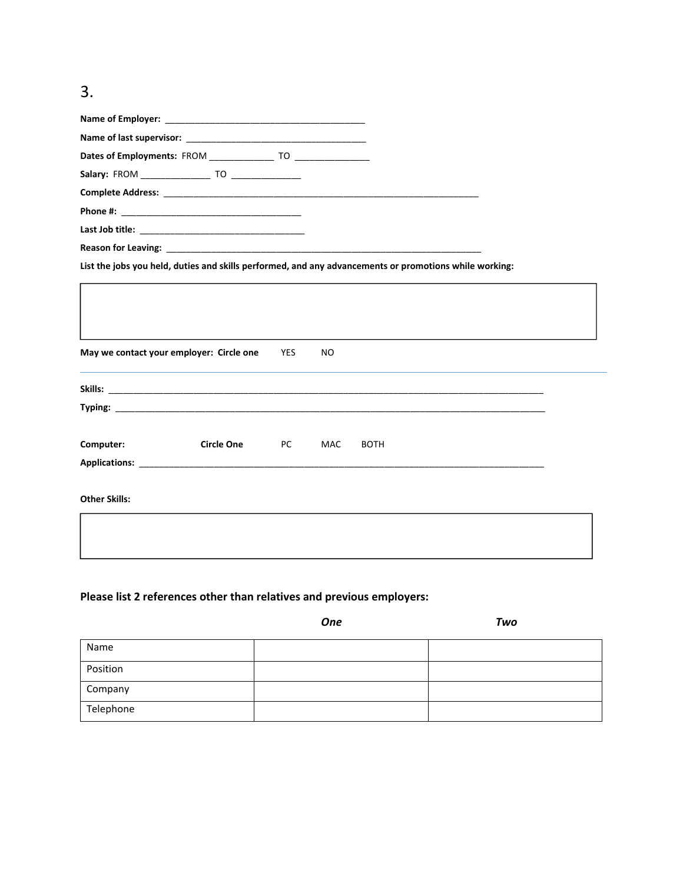## 3.

| List the jobs you held, duties and skills performed, and any advancements or promotions while working:                                                                                                                        |            |            |             |  |  |  |
|-------------------------------------------------------------------------------------------------------------------------------------------------------------------------------------------------------------------------------|------------|------------|-------------|--|--|--|
|                                                                                                                                                                                                                               |            |            |             |  |  |  |
|                                                                                                                                                                                                                               |            |            |             |  |  |  |
|                                                                                                                                                                                                                               |            |            |             |  |  |  |
|                                                                                                                                                                                                                               |            |            |             |  |  |  |
|                                                                                                                                                                                                                               |            |            |             |  |  |  |
|                                                                                                                                                                                                                               |            |            |             |  |  |  |
| May we contact your employer: Circle one                                                                                                                                                                                      | <b>YES</b> | NO.        |             |  |  |  |
|                                                                                                                                                                                                                               |            |            |             |  |  |  |
|                                                                                                                                                                                                                               |            |            |             |  |  |  |
| <b>Typing:</b> Typing:                                                                                                                                                                                                        |            |            |             |  |  |  |
|                                                                                                                                                                                                                               |            |            |             |  |  |  |
| <b>Circle One</b><br>Computer:                                                                                                                                                                                                | <b>PC</b>  | <b>MAC</b> | <b>BOTH</b> |  |  |  |
|                                                                                                                                                                                                                               |            |            |             |  |  |  |
| Applications: the contract of the contract of the contract of the contract of the contract of the contract of the contract of the contract of the contract of the contract of the contract of the contract of the contract of |            |            |             |  |  |  |
|                                                                                                                                                                                                                               |            |            |             |  |  |  |
| <b>Other Skills:</b>                                                                                                                                                                                                          |            |            |             |  |  |  |
|                                                                                                                                                                                                                               |            |            |             |  |  |  |
|                                                                                                                                                                                                                               |            |            |             |  |  |  |
|                                                                                                                                                                                                                               |            |            |             |  |  |  |
|                                                                                                                                                                                                                               |            |            |             |  |  |  |

## Please list 2 references other than relatives and previous employers:

|           | <b>One</b> | Two |
|-----------|------------|-----|
| Name      |            |     |
| Position  |            |     |
| Company   |            |     |
| Telephone |            |     |